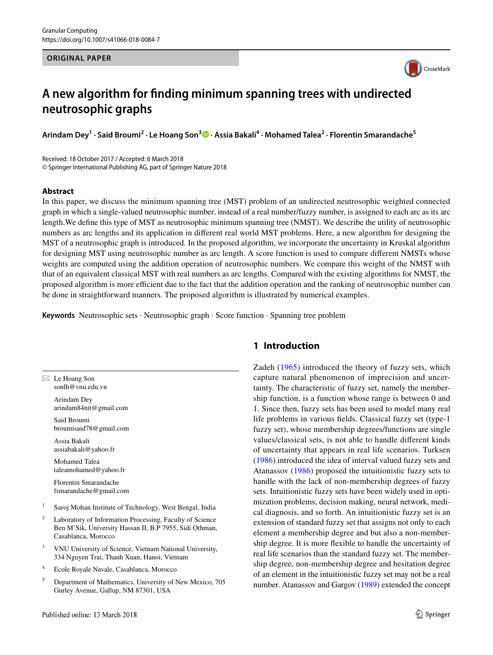#### **ORIGINAL PAPER**



# **A new algorithm for finding minimum spanning trees with undirected neutrosophic graphs**

**Arindam Dey<sup>1</sup> · Said Broumi2 · Le Hoang Son3  [·](http://orcid.org/0000-0001-6356-0046) Assia Bakali4 · Mohamed Talea2 · Florentin Smarandache5**

Received: 18 October 2017 / Accepted: 6 March 2018 © Springer International Publishing AG, part of Springer Nature 2018

#### **Abstract**

In this paper, we discuss the minimum spanning tree (MST) problem of an undirected neutrosophic weighted connected graph in which a single-valued neutrosophic number, instead of a real number/fuzzy number, is assigned to each arc as its arc length.We define this type of MST as neutrosophic minimum spanning tree (NMST). We describe the utility of neutrosophic numbers as arc lengths and its application in different real world MST problems. Here, a new algorithm for designing the MST of a neutrosophic graph is introduced. In the proposed algorithm, we incorporate the uncertainty in Kruskal algorithm for designing MST using neutrosophic number as arc length. A score function is used to compare different NMSTs whose weights are computed using the addition operation of neutrosophic numbers. We compare this weight of the NMST with that of an equivalent classical MST with real numbers as arc lengths. Compared with the existing algorithms for NMST, the proposed algorithm is more efficient due to the fact that the addition operation and the ranking of neutrosophic number can be done in straightforward manners. The proposed algorithm is illustrated by numerical examples.

**Keywords** Neutrosophic sets · Neutrosophic graph · Score function · Spanning tree problem

 $\boxtimes$  Le Hoang Son sonlh@vnu.edu.vn

> Arindam Dey arindam84nit@gmail.com

Said Broumi broumisaid78@gmail.com

Assia Bakali assiabakali@yahoo.fr

Mohamed Talea taleamohamed@yahoo.fr

Florentin Smarandache fsmarandache@gmail.com

- <sup>1</sup> Saroj Mohan Institute of Technology, West Bengal, India
- <sup>2</sup> Laboratory of Information Processing, Faculty of Science Ben M'Sik, University Hassan II, B.P 7955, Sidi Othman, Casablanca, Morocco
- <sup>3</sup> VNU University of Science, Vietnam National University, 334 Nguyen Trai, Thanh Xuan, Hanoi, Vietnam
- <sup>4</sup> Ecole Royale Navale, Casablanca, Morocco
- <sup>5</sup> Department of Mathematics, University of New Mexico, 705 Gurley Avenue, Gallup, NM 87301, USA

# **1 Introduction**

Zadeh ([1965](#page-6-0)) introduced the theory of fuzzy sets, which capture natural phenomenon of imprecision and uncertainty. The characteristic of fuzzy set, namely the membership function, is a function whose range is between 0 and 1. Since then, fuzzy sets has been used to model many real life problems in various fields. Classical fuzzy set (type-1 fuzzy set), whose membership degrees/functions are single values/classical sets, is not able to handle different kinds of uncertainty that appears in real life scenarios. Turksen ([1986\)](#page-6-1) introduced the idea of interval valued fuzzy sets and Atanassov ([1986](#page-5-0)) proposed the intuitionistic fuzzy sets to handle with the lack of non-membership degrees of fuzzy sets. Intuitionistic fuzzy sets have been widely used in optimization problems, decision making, neural network, medical diagnosis, and so forth. An intuitionistic fuzzy set is an extension of standard fuzzy set that assigns not only to each element a membership degree and but also a non-membership degree. It is more flexible to handle the uncertainty of real life scenarios than the standard fuzzy set. The membership degree, non-membership degree and hesitation degree of an element in the intuitionistic fuzzy set may not be a real number. Atanassov and Gargov ([1989\)](#page-5-1) extended the concept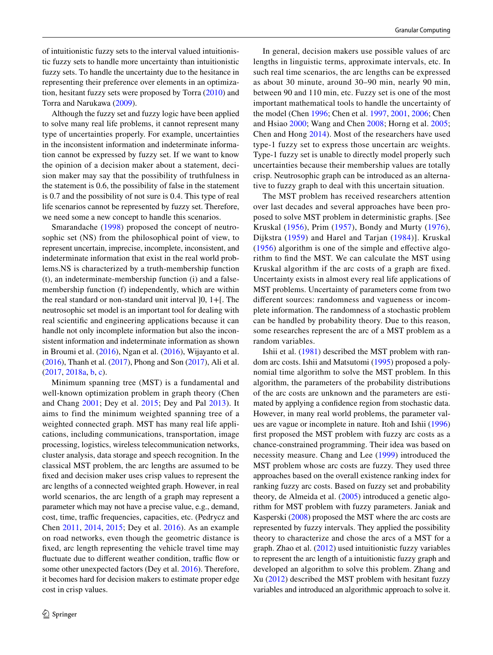of intuitionistic fuzzy sets to the interval valued intuitionistic fuzzy sets to handle more uncertainty than intuitionistic fuzzy sets. To handle the uncertainty due to the hesitance in representing their preference over elements in an optimization, hesitant fuzzy sets were proposed by Torra ([2010\)](#page-6-2) and Torra and Narukawa ([2009\)](#page-6-3).

Although the fuzzy set and fuzzy logic have been applied to solve many real life problems, it cannot represent many type of uncertainties properly. For example, uncertainties in the inconsistent information and indeterminate information cannot be expressed by fuzzy set. If we want to know the opinion of a decision maker about a statement, decision maker may say that the possibility of truthfulness in the statement is 0.6, the possibility of false in the statement is 0.7 and the possibility of not sure is 0.4. This type of real life scenarios cannot be represented by fuzzy set. Therefore, we need some a new concept to handle this scenarios.

Smarandache [\(1998](#page-6-4)) proposed the concept of neutrosophic set (NS) from the philosophical point of view, to represent uncertain, imprecise, incomplete, inconsistent, and indeterminate information that exist in the real world problems.NS is characterized by a truth-membership function (t), an indeterminate-membership function (i) and a falsemembership function (f) independently, which are within the real standard or non-standard unit interval ]0, 1+[. The neutrosophic set model is an important tool for dealing with real scientific and engineering applications because it can handle not only incomplete information but also the inconsistent information and indeterminate information as shown in Broumi et al. ([2016\)](#page-5-2), Ngan et al. ([2016\)](#page-5-3), Wijayanto et al. [\(2016](#page-6-5)), Thanh et al. [\(2017](#page-6-6)), Phong and Son [\(2017](#page-6-7)), Ali et al. [\(2017,](#page-5-4) [2018a](#page-5-5), [b](#page-5-6), [c\)](#page-5-7).

Minimum spanning tree (MST) is a fundamental and well-known optimization problem in graph theory (Chen and Chang [2001](#page-5-8); Dey et al. [2015;](#page-5-9) Dey and Pal [2013](#page-5-10)). It aims to find the minimum weighted spanning tree of a weighted connected graph. MST has many real life applications, including communications, transportation, image processing, logistics, wireless telecommunication networks, cluster analysis, data storage and speech recognition. In the classical MST problem, the arc lengths are assumed to be fixed and decision maker uses crisp values to represent the arc lengths of a connected weighted graph. However, in real world scenarios, the arc length of a graph may represent a parameter which may not have a precise value, e.g., demand, cost, time, traffic frequencies, capacities, etc. (Pedrycz and Chen [2011](#page-6-8), [2014](#page-6-9), [2015;](#page-6-10) Dey et al. [2016\)](#page-5-11). As an example on road networks, even though the geometric distance is fixed, arc length representing the vehicle travel time may fluctuate due to different weather condition, traffic flow or some other unexpected factors (Dey et al. [2016](#page-5-11)). Therefore, it becomes hard for decision makers to estimate proper edge cost in crisp values.

In general, decision makers use possible values of arc lengths in linguistic terms, approximate intervals, etc. In such real time scenarios, the arc lengths can be expressed as about 30 minute, around 30–90 min, nearly 90 min, between 90 and 110 min, etc. Fuzzy set is one of the most important mathematical tools to handle the uncertainty of the model (Chen [1996](#page-5-12); Chen et al. [1997](#page-5-13), [2001,](#page-5-14) [2006;](#page-5-15) Chen and Hsiao [2000;](#page-5-16) Wang and Chen [2008](#page-6-11); Horng et al. [2005](#page-5-17); Chen and Hong [2014\)](#page-5-18). Most of the researchers have used type-1 fuzzy set to express those uncertain arc weights. Type-1 fuzzy set is unable to directly model properly such uncertainties because their membership values are totally crisp. Neutrosophic graph can be introduced as an alternative to fuzzy graph to deal with this uncertain situation.

The MST problem has received researchers attention over last decades and several approaches have been proposed to solve MST problem in deterministic graphs. [See Kruskal ([1956\)](#page-5-19), Prim ([1957](#page-6-12)), Bondy and Murty ([1976\)](#page-5-20), Dijkstra ([1959\)](#page-5-21) and Harel and Tarjan ([1984\)](#page-5-22)]. Kruskal ([1956](#page-5-19)) algorithm is one of the simple and effective algorithm to find the MST. We can calculate the MST using Kruskal algorithm if the arc costs of a graph are fixed. Uncertainty exists in almost every real life applications of MST problems. Uncertainty of parameters come from two different sources: randomness and vagueness or incomplete information. The randomness of a stochastic problem can be handled by probability theory. Due to this reason, some researches represent the arc of a MST problem as a random variables.

Ishii et al. [\(1981](#page-5-23)) described the MST problem with random arc costs. Ishii and Matsutomi ([1995](#page-5-24)) proposed a polynomial time algorithm to solve the MST problem. In this algorithm, the parameters of the probability distributions of the arc costs are unknown and the parameters are estimated by applying a confidence region from stochastic data. However, in many real world problems, the parameter values are vague or incomplete in nature. Itoh and Ishii ([1996\)](#page-5-25) first proposed the MST problem with fuzzy arc costs as a chance-constrained programming. Their idea was based on necessity measure. Chang and Lee ([1999\)](#page-5-26) introduced the MST problem whose arc costs are fuzzy. They used three approaches based on the overall existence ranking index for ranking fuzzy arc costs. Based on fuzzy set and probability theory, de Almeida et al. ([2005\)](#page-5-27) introduced a genetic algorithm for MST problem with fuzzy parameters. Janiak and Kasperski ([2008](#page-5-28)) proposed the MST where the arc costs are represented by fuzzy intervals. They applied the possibility theory to characterize and chose the arcs of a MST for a graph. Zhao et al. ([2012\)](#page-6-13) used intuitionistic fuzzy variables to represent the arc length of a intuitionistic fuzzy graph and developed an algorithm to solve this problem. Zhang and Xu [\(2012\)](#page-6-14) described the MST problem with hesitant fuzzy variables and introduced an algorithmic approach to solve it.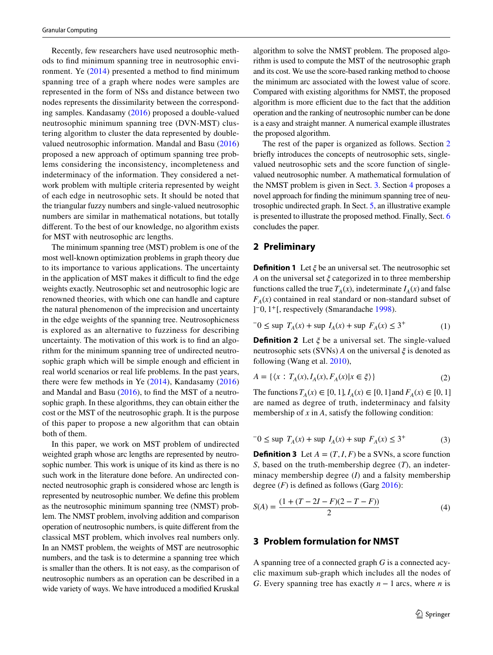Recently, few researchers have used neutrosophic methods to find minimum spanning tree in neutrosophic environment. Ye ([2014](#page-6-15)) presented a method to find minimum spanning tree of a graph where nodes were samples are represented in the form of NSs and distance between two nodes represents the dissimilarity between the corresponding samples. Kandasamy [\(2016](#page-5-29)) proposed a double-valued neutrosophic minimum spanning tree (DVN-MST) clustering algorithm to cluster the data represented by doublevalued neutrosophic information. Mandal and Basu ([2016\)](#page-5-30) proposed a new approach of optimum spanning tree problems considering the inconsistency, incompleteness and indeterminacy of the information. They considered a network problem with multiple criteria represented by weight of each edge in neutrosophic sets. It should be noted that the triangular fuzzy numbers and single-valued neutrosophic numbers are similar in mathematical notations, but totally different. To the best of our knowledge, no algorithm exists for MST with neutrosophic arc lengths.

The minimum spanning tree (MST) problem is one of the most well-known optimization problems in graph theory due to its importance to various applications. The uncertainty in the application of MST makes it difficult to find the edge weights exactly. Neutrosophic set and neutrosophic logic are renowned theories, with which one can handle and capture the natural phenomenon of the imprecision and uncertainty in the edge weights of the spanning tree. Neutrosophicness is explored as an alternative to fuzziness for describing uncertainty. The motivation of this work is to find an algorithm for the minimum spanning tree of undirected neutrosophic graph which will be simple enough and efficient in real world scenarios or real life problems. In the past years, there were few methods in Ye [\(2014\)](#page-6-15), Kandasamy [\(2016\)](#page-5-29) and Mandal and Basu [\(2016\)](#page-5-30), to find the MST of a neutrosophic graph. In these algorithms, they can obtain either the cost or the MST of the neutrosophic graph. It is the purpose of this paper to propose a new algorithm that can obtain both of them.

In this paper, we work on MST problem of undirected weighted graph whose arc lengths are represented by neutrosophic number. This work is unique of its kind as there is no such work in the literature done before. An undirected connected neutrosophic graph is considered whose arc length is represented by neutrosophic number. We define this problem as the neutrosophic minimum spanning tree (NMST) problem. The NMST problem, involving addition and comparison operation of neutrosophic numbers, is quite different from the classical MST problem, which involves real numbers only. In an NMST problem, the weights of MST are neutrosophic numbers, and the task is to determine a spanning tree which is smaller than the others. It is not easy, as the comparison of neutrosophic numbers as an operation can be described in a wide variety of ways. We have introduced a modified Kruskal algorithm to solve the NMST problem. The proposed algorithm is used to compute the MST of the neutrosophic graph and its cost. We use the score-based ranking method to choose the minimum arc associated with the lowest value of score. Compared with existing algorithms for NMST, the proposed algorithm is more efficient due to the fact that the addition operation and the ranking of neutrosophic number can be done is a easy and straight manner. A numerical example illustrates the proposed algorithm.

The rest of the paper is organized as follows. Section [2](#page-2-0) briefly introduces the concepts of neutrosophic sets, singlevalued neutrosophic sets and the score function of singlevalued neutrosophic number. A mathematical formulation of the NMST problem is given in Sect. [3](#page-2-1). Section [4](#page-3-0) proposes a novel approach for finding the minimum spanning tree of neutrosophic undirected graph. In Sect. [5,](#page-3-1) an illustrative example is presented to illustrate the proposed method. Finally, Sect. [6](#page-4-0) concludes the paper.

### <span id="page-2-0"></span>**2 Preliminary**

**Definition 1** Let  $\xi$  be an universal set. The neutrosophic set *A* on the universal set  $\xi$  categorized in to three membership functions called the true  $T_A(x)$ , indeterminate  $I_A(x)$  and false  $F_A(x)$  contained in real standard or non-standard subset of ] <sup>−</sup>0, 1+[, respectively (Smarandache [1998](#page-6-4)).

$$
-0 \le \sup T_A(x) + \sup I_A(x) + \sup F_A(x) \le 3^+ \tag{1}
$$

**Definition 2** Let  $\xi$  be a universal set. The single-valued neutrosophic sets (SVNs) *A* on the universal  $\xi$  is denoted as following (Wang et al. [2010\)](#page-6-16),

$$
A = \{ \langle x : T_A(x), I_A(x), F_A(x) | x \in \xi \rangle \}
$$
 (2)

The functions  $T_A(x) \in [0, 1]$ ,  $I_A(x) \in [0, 1]$  and  $F_A(x) \in [0, 1]$ are named as degree of truth, indeterminacy and falsity membership of *x* in *A*, satisfy the following condition:

$$
-0 \le \sup T_A(x) + \sup I_A(x) + \sup F_A(x) \le 3^+ \tag{3}
$$

**Definition 3** Let  $A = (T, I, F)$  be a SVNs, a score function *S*, based on the truth-membership degree (*T*), an indeterminacy membership degree (*I*) and a falsity membership degree  $(F)$  is defined as follows (Garg [2016](#page-5-31)):

<span id="page-2-2"></span>
$$
S(A) = \frac{(1 + (T - 2I - F)(2 - T - F))}{2}
$$
\n(4)

## <span id="page-2-1"></span>**3 Problem formulation for NMST**

A spanning tree of a connected graph *G* is a connected acyclic maximum sub-graph which includes all the nodes of *G*. Every spanning tree has exactly *n* − 1 arcs, where *n* is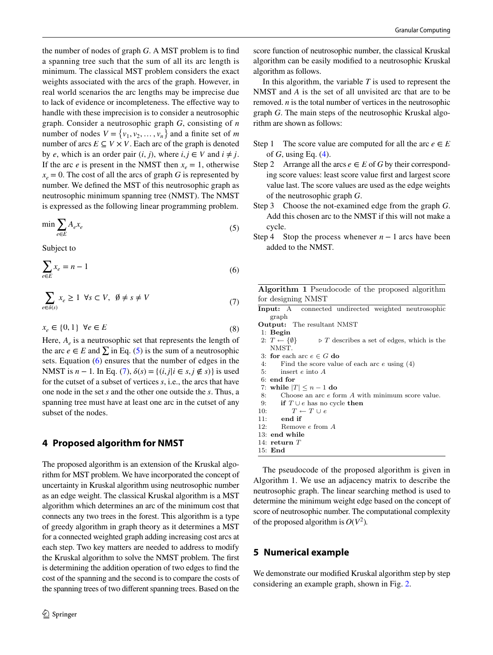the number of nodes of graph *G*. A MST problem is to find a spanning tree such that the sum of all its arc length is minimum. The classical MST problem considers the exact weights associated with the arcs of the graph. However, in real world scenarios the arc lengths may be imprecise due to lack of evidence or incompleteness. The effective way to handle with these imprecision is to consider a neutrosophic graph. Consider a neutrosophic graph *G*, consisting of *n* number of nodes  $V = \{v_1, v_2, ..., v_n\}$  and a finite set of *m* number of arcs  $E \subseteq V \times V$ . Each arc of the graph is denoted by *e*, which is an order pair  $(i, j)$ , where  $i, j \in V$  and  $i \neq j$ . If the arc *e* is present in the NMST then  $x_e = 1$ , otherwise  $x_e = 0$ . The cost of all the arcs of graph *G* is represented by number. We defined the MST of this neutrosophic graph as neutrosophic minimum spanning tree (NMST). The NMST is expressed as the following linear programming problem.

$$
\min \sum_{e \in E} A_e x_e \tag{5}
$$

Subject to

$$
\sum_{e \in E} x_e = n - 1 \tag{6}
$$

$$
\sum_{e \in \delta(s)} x_e \ge 1 \quad \forall s \subset V, \quad \emptyset \ne s \ne V \tag{7}
$$

$$
x_e \in \{0, 1\} \ \forall e \in E \tag{8}
$$

Here,  $A_e$  is a neutrosophic set that represents the length of the arc  $e \in E$  and  $\Sigma$  in Eq. [\(5](#page-3-2)) is the sum of a neutrosophic sets. Equation [\(6](#page-3-3)) ensures that the number of edges in the NMST is *n* − 1. In Eq. ([7](#page-3-4)),  $\delta(s) = \{(i, j | i \in s, j \notin s)\}\)$  is used for the cutset of a subset of vertices *s*, i.e., the arcs that have one node in the set *s* and the other one outside the *s*. Thus, a spanning tree must have at least one arc in the cutset of any subset of the nodes.

# <span id="page-3-0"></span>**4 Proposed algorithm for NMST**

The proposed algorithm is an extension of the Kruskal algorithm for MST problem. We have incorporated the concept of uncertainty in Kruskal algorithm using neutrosophic number as an edge weight. The classical Kruskal algorithm is a MST algorithm which determines an arc of the minimum cost that connects any two trees in the forest. This algorithm is a type of greedy algorithm in graph theory as it determines a MST for a connected weighted graph adding increasing cost arcs at each step. Two key matters are needed to address to modify the Kruskal algorithm to solve the NMST problem. The first is determining the addition operation of two edges to find the cost of the spanning and the second is to compare the costs of the spanning trees of two different spanning trees. Based on the score function of neutrosophic number, the classical Kruskal algorithm can be easily modified to a neutrosophic Kruskal algorithm as follows.

In this algorithm, the variable *T* is used to represent the NMST and *A* is the set of all unvisited arc that are to be removed. *n* is the total number of vertices in the neutrosophic graph *G*. The main steps of the neutrosophic Kruskal algorithm are shown as follows:

- Step 1 The score value are computed for all the arc  $e \in E$ of *G*, using Eq. [\(4](#page-2-2)).
- Step 2 Arrange all the arcs  $e \in E$  of *G* by their corresponding score values: least score value first and largest score value last. The score values are used as the edge weights of the neutrosophic graph *G*.
- Step 3 Choose the not-examined edge from the graph *G*. Add this chosen arc to the NMST if this will not make a cycle.
- <span id="page-3-2"></span>Step 4 Stop the process whenever  $n - 1$  arcs have been added to the NMST.

<span id="page-3-4"></span><span id="page-3-3"></span>Algorithm 1 Pseudocode of the proposed algorithm for designing NMST

- Input: A connected undirected weighted neutrosophic graph
- Output: The resultant NMST
- 1: Begin
- 2:  $T \leftarrow \{\emptyset\}$   $\triangleright T$  describes a set of edges, which is the NMST.
- 3: **for** each arc  $e \in G$  **do**<br>4: Find the score value
- Find the score value of each arc  $e$  using  $(4)$
- 5: insert e into A
- 6: end for
- 7: while  $|T| \le n 1$  do 8: Choose an arc e form
- Choose an arc  $e$  form  $A$  with minimum score value.
- 9: if  $T \cup e$  has no cycle then<br>10:  $T \leftarrow T \cup e$
- 10:  $T \leftarrow T \cup e$ <br>11: **end if**
- end if
- 12: Remove e from A
- 13: end while
- 14: return T
- 15: End

The pseudocode of the proposed algorithm is given in Algorithm 1. We use an adjacency matrix to describe the neutrosophic graph. The linear searching method is used to determine the minimum weight edge based on the concept of score of neutrosophic number. The computational complexity of the proposed algorithm is  $O(V^2)$ .

### <span id="page-3-1"></span>**5 Numerical example**

We demonstrate our modified Kruskal algorithm step by step considering an example graph, shown in Fig. [2.](#page-4-1)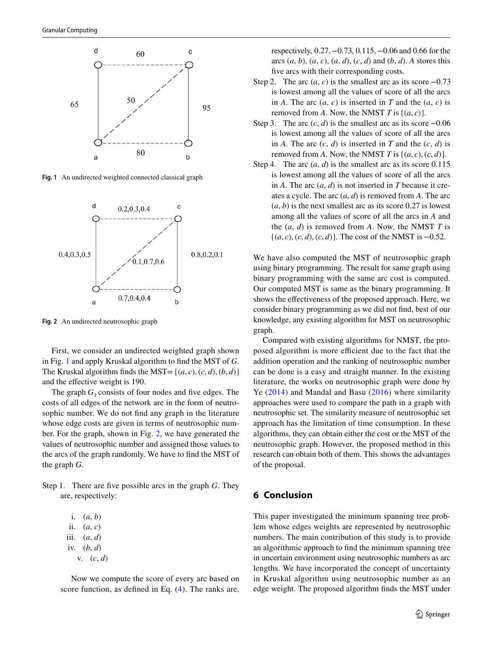

<span id="page-4-2"></span>**Fig. 1** An undirected weighted connected classical graph



<span id="page-4-1"></span>**Fig. 2** An undirected neutrosophic graph

First, we consider an undirected weighted graph shown in Fig. [1](#page-4-2) and apply Kruskal algorithm to find the MST of *G*. The Kruskal algorithm finds the MST= $\{(a, c), (c, d), (b, d)\}$ and the effective weight is 190.

The graph  $G_1$  consists of four nodes and five edges. The costs of all edges of the network are in the form of neutrosophic number. We do not find any graph in the literature whose edge costs are given in terms of neutrosophic number. For the graph, shown in Fig. [2](#page-4-1), we have generated the values of neutrosophic number and assigned those values to the arcs of the graph randomly. We have to find the MST of the graph *G*.

Step 1. There are five possible arcs in the graph *G*. They are, respectively:

i. (*a*, *b*) ii.  $(a, c)$ iii. (*a*, *d*) iv. (*b*, *d*) v. (*c*, *d*)

 Now we compute the score of every arc based on score function, as defined in Eq. ([4](#page-2-2)). The ranks are,

respectively, 0.27, −0.73, 0.115, −0.06 and 0.66 for the arcs  $(a, b)$ ,  $(a, c)$ ,  $(a, d)$ ,  $(c, d)$  and  $(b, d)$ . *A* stores this five arcs with their corresponding costs.

- Step 2. The arc  $(a, c)$  is the smallest arc as its score  $-0.73$ is lowest among all the values of score of all the arcs in *A*. The arc  $(a, c)$  is inserted in *T* and the  $(a, c)$  is removed from *A*. Now, the NMST *T* is  $\{(a, c)\}.$
- Step 3. The arc  $(c, d)$  is the smallest arc as its score  $-0.06$ is lowest among all the values of score of all the arcs in *A*. The arc  $(c, d)$  is inserted in *T* and the  $(c, d)$  is removed from *A*. Now, the NMST *T* is  $\{(a, c), (c, d)\}.$
- Step 4. The arc  $(a, d)$  is the smallest arc as its score 0.115 is lowest among all the values of score of all the arcs in *A*. The arc (*a*, *d*) is not inserted in *T* because it creates a cycle. The arc (*a*, *d*) is removed from *A*. The arc  $(a, b)$  is the next smallest arc as its score 0.27 is lowest among all the values of score of all the arcs in *A* and the (*a*, *d*) is removed from *A*. Now, the NMST *T* is {(*a*, *c*), (*c*, *d*), (*c*, *d*)}. The cost of the NMST is −0.52.

We have also computed the MST of neutrosophic graph using binary programming. The result for same graph using binary programming with the same arc cost is computed. Our computed MST is same as the binary programming. It shows the effectiveness of the proposed approach. Here, we consider binary programming as we did not find, best of our knowledge, any existing algorithm for MST on neutrosophic graph.

Compared with existing algorithms for NMST, the proposed algorithm is more efficient due to the fact that the addition operation and the ranking of neutrosophic number can be done is a easy and straight manner. In the existing literature, the works on neutrosophic graph were done by Ye ([2014\)](#page-6-15) and Mandal and Basu ([2016\)](#page-5-30) where similarity approaches were used to compare the path in a graph with neutrosophic set. The similarity measure of neutrosophic set approach has the limitation of time consumption. In these algorithms, they can obtain either the cost or the MST of the neutrosophic graph. However, the proposed method in this research can obtain both of them. This shows the advantages of the proposal.

### <span id="page-4-0"></span>**6 Conclusion**

This paper investigated the minimum spanning tree problem whose edges weights are represented by neutrosophic numbers. The main contribution of this study is to provide an algorithmic approach to find the minimum spanning tree in uncertain environment using neutrosophic numbers as arc lengths. We have incorporated the concept of uncertainty in Kruskal algorithm using neutrosophic number as an edge weight. The proposed algorithm finds the MST under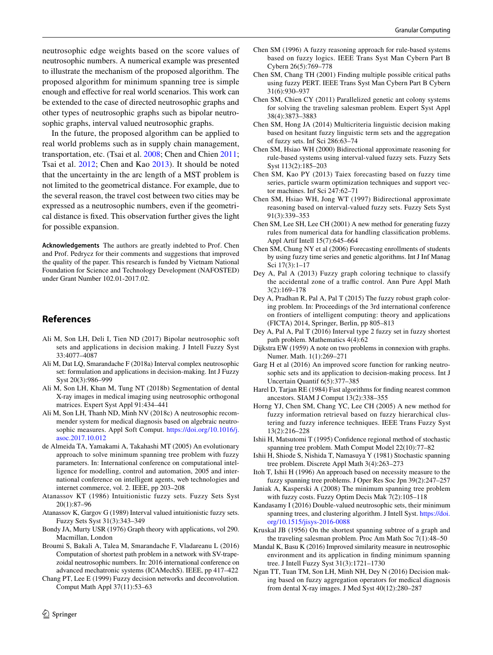neutrosophic edge weights based on the score values of neutrosophic numbers. A numerical example was presented to illustrate the mechanism of the proposed algorithm. The proposed algorithm for minimum spanning tree is simple enough and effective for real world scenarios. This work can be extended to the case of directed neutrosophic graphs and other types of neutrosophic graphs such as bipolar neutrosophic graphs, interval valued neutrosophic graphs.

In the future, the proposed algorithm can be applied to real world problems such as in supply chain management, transportation, etc. (Tsai et al. [2008;](#page-6-17) Chen and Chien [2011](#page-5-32); Tsai et al. [2012;](#page-6-18) Chen and Kao [2013\)](#page-5-33). It should be noted that the uncertainty in the arc length of a MST problem is not limited to the geometrical distance. For example, due to the several reason, the travel cost between two cities may be expressed as a neutrosophic numbers, even if the geometrical distance is fixed. This observation further gives the light for possible expansion.

**Acknowledgements** The authors are greatly indebted to Prof. Chen and Prof. Pedrycz for their comments and suggestions that improved the quality of the paper. This research is funded by Vietnam National Foundation for Science and Technology Development (NAFOSTED) under Grant Number 102.01-2017.02.

#### **References**

- <span id="page-5-4"></span>Ali M, Son LH, Deli I, Tien ND (2017) Bipolar neutrosophic soft sets and applications in decision making. J Intell Fuzzy Syst 33:4077–4087
- <span id="page-5-5"></span>Ali M, Dat LQ, Smarandache F (2018a) Interval complex neutrosophic set: formulation and applications in decision-making. Int J Fuzzy Syst 20(3):986–999
- <span id="page-5-6"></span>Ali M, Son LH, Khan M, Tung NT (2018b) Segmentation of dental X-ray images in medical imaging using neutrosophic orthogonal matrices. Expert Syst Appl 91:434–441
- <span id="page-5-7"></span>Ali M, Son LH, Thanh ND, Minh NV (2018c) A neutrosophic recommender system for medical diagnosis based on algebraic neutrosophic measures. Appl Soft Comput. [https://doi.org/10.1016/j.](https://doi.org/10.1016/j.asoc.2017.10.012) [asoc.2017.10.012](https://doi.org/10.1016/j.asoc.2017.10.012)
- <span id="page-5-27"></span>de Almeida TA, Yamakami A, Takahashi MT (2005) An evolutionary approach to solve minimum spanning tree problem with fuzzy parameters. In: International conference on computational intelligence for modelling, control and automation, 2005 and international conference on intelligent agents, web technologies and internet commerce, vol. 2. IEEE, pp 203–208
- <span id="page-5-0"></span>Atanassov KT (1986) Intuitionistic fuzzy sets. Fuzzy Sets Syst 20(1):87–96
- <span id="page-5-1"></span>Atanassov K, Gargov G (1989) Interval valued intuitionistic fuzzy sets. Fuzzy Sets Syst 31(3):343–349
- <span id="page-5-20"></span>Bondy JA, Murty USR (1976) Graph theory with applications, vol 290. Macmillan, London
- <span id="page-5-2"></span>Broumi S, Bakali A, Talea M, Smarandache F, Vladareanu L (2016) Computation of shortest path problem in a network with SV-trapezoidal neutrosophic numbers. In: 2016 international conference on advanced mechatronic systems (ICAMechS). IEEE, pp 417–422
- <span id="page-5-26"></span>Chang PT, Lee E (1999) Fuzzy decision networks and deconvolution. Comput Math Appl 37(11):53–63
- <span id="page-5-12"></span>Chen SM (1996) A fuzzy reasoning approach for rule-based systems based on fuzzy logics. IEEE Trans Syst Man Cybern Part B Cybern 26(5):769–778
- <span id="page-5-8"></span>Chen SM, Chang TH (2001) Finding multiple possible critical paths using fuzzy PERT. IEEE Trans Syst Man Cybern Part B Cybern 31(6):930–937
- <span id="page-5-32"></span>Chen SM, Chien CY (2011) Parallelized genetic ant colony systems for solving the traveling salesman problem. Expert Syst Appl 38(4):3873–3883
- <span id="page-5-18"></span>Chen SM, Hong JA (2014) Multicriteria linguistic decision making based on hesitant fuzzy linguistic term sets and the aggregation of fuzzy sets. Inf Sci 286:63–74
- <span id="page-5-16"></span>Chen SM, Hsiao WH (2000) Bidirectional approximate reasoning for rule-based systems using interval-valued fuzzy sets. Fuzzy Sets Syst 113(2):185–203
- <span id="page-5-33"></span>Chen SM, Kao PY (2013) Taiex forecasting based on fuzzy time series, particle swarm optimization techniques and support vector machines. Inf Sci 247:62–71
- <span id="page-5-13"></span>Chen SM, Hsiao WH, Jong WT (1997) Bidirectional approximate reasoning based on interval-valued fuzzy sets. Fuzzy Sets Syst 91(3):339–353
- <span id="page-5-14"></span>Chen SM, Lee SH, Lee CH (2001) A new method for generating fuzzy rules from numerical data for handling classification problems. Appl Artif Intell 15(7):645–664
- <span id="page-5-15"></span>Chen SM, Chung NY et al (2006) Forecasting enrollments of students by using fuzzy time series and genetic algorithms. Int J Inf Manag Sci 17(3):1–17
- <span id="page-5-10"></span>Dey A, Pal A (2013) Fuzzy graph coloring technique to classify the accidental zone of a traffic control. Ann Pure Appl Math 3(2):169–178
- <span id="page-5-9"></span>Dey A, Pradhan R, Pal A, Pal T (2015) The fuzzy robust graph coloring problem. In: Proceedings of the 3rd international conference on frontiers of intelligent computing: theory and applications (FICTA) 2014, Springer, Berlin, pp 805–813
- <span id="page-5-11"></span>Dey A, Pal A, Pal T (2016) Interval type 2 fuzzy set in fuzzy shortest path problem. Mathematics 4(4):62
- <span id="page-5-21"></span>Dijkstra EW (1959) A note on two problems in connexion with graphs. Numer. Math. 1(1):269–271
- <span id="page-5-31"></span>Garg H et al (2016) An improved score function for ranking neutrosophic sets and its application to decision-making process. Int J Uncertain Quantif 6(5):377–385
- <span id="page-5-22"></span>Harel D, Tarjan RE (1984) Fast algorithms for finding nearest common ancestors. SIAM J Comput 13(2):338–355
- <span id="page-5-17"></span>Horng YJ, Chen SM, Chang YC, Lee CH (2005) A new method for fuzzy information retrieval based on fuzzy hierarchical clustering and fuzzy inference techniques. IEEE Trans Fuzzy Syst 13(2):216–228
- <span id="page-5-24"></span>Ishii H, Matsutomi T (1995) Confidence regional method of stochastic spanning tree problem. Math Comput Model 22(10):77–82
- <span id="page-5-23"></span>Ishii H, Shiode S, Nishida T, Namasuya Y (1981) Stochastic spanning tree problem. Discrete Appl Math 3(4):263–273
- <span id="page-5-25"></span>Itoh T, Ishii H (1996) An approach based on necessity measure to the fuzzy spanning tree problems. J Oper Res Soc Jpn 39(2):247–257
- <span id="page-5-28"></span>Janiak A, Kasperski A (2008) The minimum spanning tree problem with fuzzy costs. Fuzzy Optim Decis Mak 7(2):105–118
- <span id="page-5-29"></span>Kandasamy I (2016) Double-valued neutrosophic sets, their minimum spanning trees, and clustering algorithm. J Intell Syst. [https://doi.](https://doi.org/10.1515/jisys-2016-0088) [org/10.1515/jisys-2016-0088](https://doi.org/10.1515/jisys-2016-0088)
- <span id="page-5-19"></span>Kruskal JB (1956) On the shortest spanning subtree of a graph and the traveling salesman problem. Proc Am Math Soc 7(1):48–50
- <span id="page-5-30"></span>Mandal K, Basu K (2016) Improved similarity measure in neutrosophic environment and its application in finding minimum spanning tree. J Intell Fuzzy Syst 31(3):1721–1730
- <span id="page-5-3"></span>Ngan TT, Tuan TM, Son LH, Minh NH, Dey N (2016) Decision making based on fuzzy aggregation operators for medical diagnosis from dental X-ray images. J Med Syst 40(12):280–287